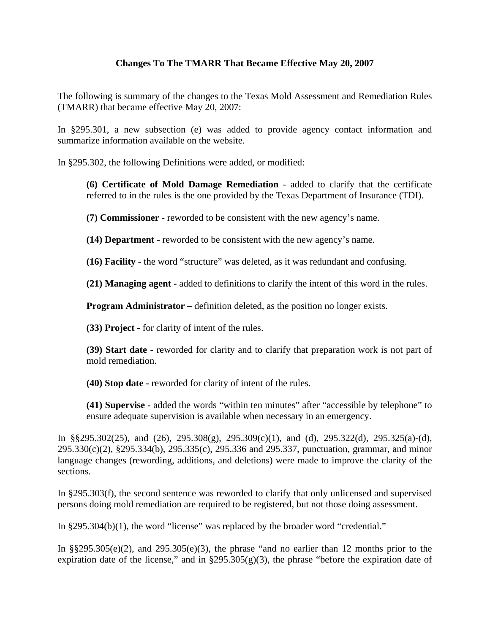## **Changes To The TMARR That Became Effective May 20, 2007**

The following is summary of the changes to the Texas Mold Assessment and Remediation Rules (TMARR) that became effective May 20, 2007:

In §295.301, a new subsection (e) was added to provide agency contact information and summarize information available on the website.

In §295.302, the following Definitions were added, or modified:

**(6) Certificate of Mold Damage Remediation** - added to clarify that the certificate referred to in the rules is the one provided by the Texas Department of Insurance (TDI).

**(7) Commissioner** - reworded to be consistent with the new agency's name.

**(14) Department** - reworded to be consistent with the new agency's name.

**(16) Facility -** the word "structure" was deleted, as it was redundant and confusing.

**(21) Managing agent -** added to definitions to clarify the intent of this word in the rules.

**Program Administrator –** definition deleted, as the position no longer exists.

**(33) Project -** for clarity of intent of the rules.

**(39) Start date -** reworded for clarity and to clarify that preparation work is not part of mold remediation.

**(40) Stop date -** reworded for clarity of intent of the rules.

**(41) Supervise -** added the words "within ten minutes" after "accessible by telephone" to ensure adequate supervision is available when necessary in an emergency.

In §§295.302(25), and (26), 295.308(g), 295.309(c)(1), and (d), 295.322(d), 295.325(a)-(d), 295.330(c)(2), §295.334(b), 295.335(c), 295.336 and 295.337, punctuation, grammar, and minor language changes (rewording, additions, and deletions) were made to improve the clarity of the sections.

In §295.303(f), the second sentence was reworded to clarify that only unlicensed and supervised persons doing mold remediation are required to be registered, but not those doing assessment.

In §295.304(b)(1), the word "license" was replaced by the broader word "credential."

In  $\S$ \$295.305(e)(2), and 295.305(e)(3), the phrase "and no earlier than 12 months prior to the expiration date of the license," and in  $\S295.305(g)(3)$ , the phrase "before the expiration date of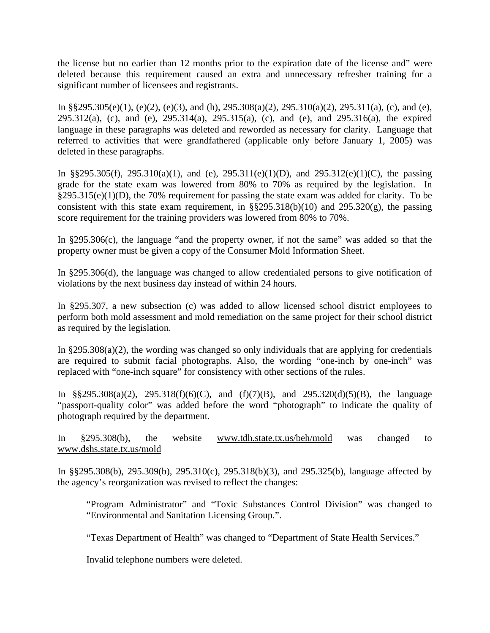the license but no earlier than 12 months prior to the expiration date of the license and" were deleted because this requirement caused an extra and unnecessary refresher training for a significant number of licensees and registrants.

In §§295.305(e)(1), (e)(2), (e)(3), and (h),  $295.308(a)(2)$ ,  $295.310(a)(2)$ ,  $295.311(a)$ , (c), and (e), 295.312(a), (c), and (e), 295.314(a), 295.315(a), (c), and (e), and 295.316(a), the expired language in these paragraphs was deleted and reworded as necessary for clarity. Language that referred to activities that were grandfathered (applicable only before January 1, 2005) was deleted in these paragraphs.

In §§295.305(f), 295.310(a)(1), and (e), 295.311(e)(1)(D), and 295.312(e)(1)(C), the passing grade for the state exam was lowered from 80% to 70% as required by the legislation. In  $§295.315(e)(1)(D)$ , the 70% requirement for passing the state exam was added for clarity. To be consistent with this state exam requirement, in  $\S$ §295.318(b)(10) and 295.320(g), the passing score requirement for the training providers was lowered from 80% to 70%.

In §295.306(c), the language "and the property owner, if not the same" was added so that the property owner must be given a copy of the Consumer Mold Information Sheet.

In §295.306(d), the language was changed to allow credentialed persons to give notification of violations by the next business day instead of within 24 hours.

In §295.307, a new subsection (c) was added to allow licensed school district employees to perform both mold assessment and mold remediation on the same project for their school district as required by the legislation.

In §295.308(a)(2), the wording was changed so only individuals that are applying for credentials are required to submit facial photographs. Also, the wording "one-inch by one-inch" was replaced with "one-inch square" for consistency with other sections of the rules.

In  $\S$ §295.308(a)(2), 295.318(f)(6)(C), and (f)(7)(B), and 295.320(d)(5)(B), the language "passport-quality color" was added before the word "photograph" to indicate the quality of photograph required by the department.

In §295.308(b), the website www.tdh.state.tx.us/beh/mold was changed to www.dshs.state.tx.us/mold

In §§295.308(b), 295.309(b), 295.310(c), 295.318(b)(3), and 295.325(b), language affected by the agency's reorganization was revised to reflect the changes:

"Program Administrator" and "Toxic Substances Control Division" was changed to "Environmental and Sanitation Licensing Group.".

"Texas Department of Health" was changed to "Department of State Health Services."

Invalid telephone numbers were deleted.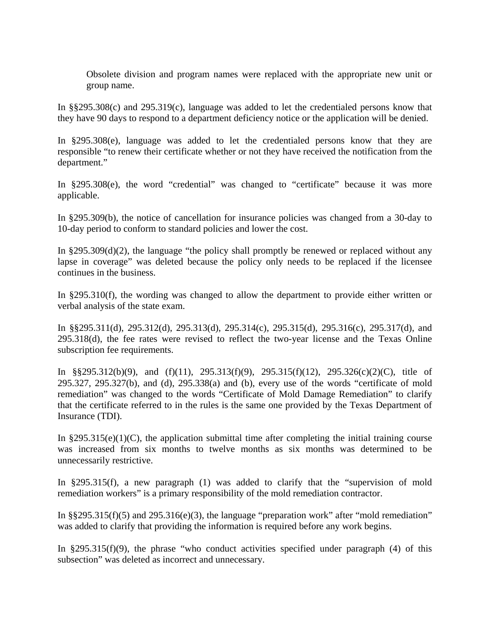Obsolete division and program names were replaced with the appropriate new unit or group name.

In §§295.308(c) and 295.319(c), language was added to let the credentialed persons know that they have 90 days to respond to a department deficiency notice or the application will be denied.

In §295.308(e), language was added to let the credentialed persons know that they are responsible "to renew their certificate whether or not they have received the notification from the department."

In §295.308(e), the word "credential" was changed to "certificate" because it was more applicable.

In §295.309(b), the notice of cancellation for insurance policies was changed from a 30-day to 10-day period to conform to standard policies and lower the cost.

In  $\S 295.309(d)(2)$ , the language "the policy shall promptly be renewed or replaced without any lapse in coverage" was deleted because the policy only needs to be replaced if the licensee continues in the business.

In §295.310(f), the wording was changed to allow the department to provide either written or verbal analysis of the state exam.

In §§295.311(d), 295.312(d), 295.313(d), 295.314(c), 295.315(d), 295.316(c), 295.317(d), and 295.318(d), the fee rates were revised to reflect the two-year license and the Texas Online subscription fee requirements.

In §§295.312(b)(9), and (f)(11), 295.313(f)(9), 295.315(f)(12), 295.326(c)(2)(C), title of 295.327, 295.327(b), and (d), 295.338(a) and (b), every use of the words "certificate of mold remediation" was changed to the words "Certificate of Mold Damage Remediation" to clarify that the certificate referred to in the rules is the same one provided by the Texas Department of Insurance (TDI).

In  $§295.315(e)(1)(C)$ , the application submittal time after completing the initial training course was increased from six months to twelve months as six months was determined to be unnecessarily restrictive.

In §295.315(f), a new paragraph (1) was added to clarify that the "supervision of mold remediation workers" is a primary responsibility of the mold remediation contractor.

In §§295.315(f)(5) and 295.316(e)(3), the language "preparation work" after "mold remediation" was added to clarify that providing the information is required before any work begins.

In  $\S 295.315(f)(9)$ , the phrase "who conduct activities specified under paragraph (4) of this subsection" was deleted as incorrect and unnecessary.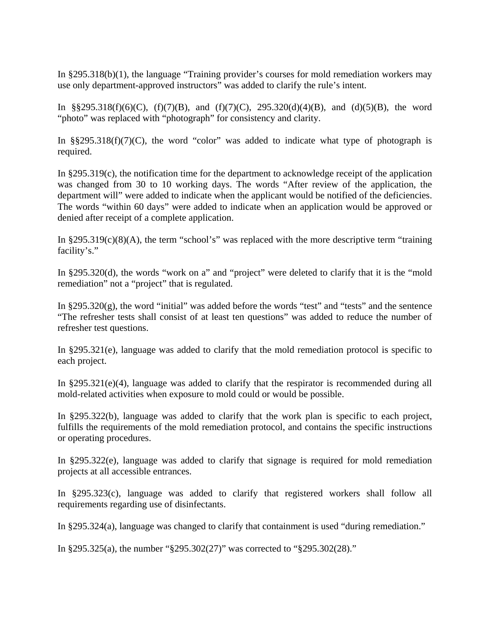In §295.318(b)(1), the language "Training provider's courses for mold remediation workers may use only department-approved instructors" was added to clarify the rule's intent.

In §§295.318(f)(6)(C), (f)(7)(B), and (f)(7)(C), 295.320(d)(4)(B), and (d)(5)(B), the word "photo" was replaced with "photograph" for consistency and clarity.

In  $\S$ §295.318(f)(7)(C), the word "color" was added to indicate what type of photograph is required.

In §295.319(c), the notification time for the department to acknowledge receipt of the application was changed from 30 to 10 working days. The words "After review of the application, the department will" were added to indicate when the applicant would be notified of the deficiencies. The words "within 60 days" were added to indicate when an application would be approved or denied after receipt of a complete application.

In  $\S295.319(c)(8)(A)$ , the term "school's" was replaced with the more descriptive term "training facility's."

In §295.320(d), the words "work on a" and "project" were deleted to clarify that it is the "mold remediation" not a "project" that is regulated.

In §295.320(g), the word "initial" was added before the words "test" and "tests" and the sentence "The refresher tests shall consist of at least ten questions" was added to reduce the number of refresher test questions.

In §295.321(e), language was added to clarify that the mold remediation protocol is specific to each project.

In  $\S 295.321(e)(4)$ , language was added to clarify that the respirator is recommended during all mold-related activities when exposure to mold could or would be possible.

In §295.322(b), language was added to clarify that the work plan is specific to each project, fulfills the requirements of the mold remediation protocol, and contains the specific instructions or operating procedures.

In §295.322(e), language was added to clarify that signage is required for mold remediation projects at all accessible entrances.

In §295.323(c), language was added to clarify that registered workers shall follow all requirements regarding use of disinfectants.

In §295.324(a), language was changed to clarify that containment is used "during remediation."

In §295.325(a), the number "§295.302(27)" was corrected to "§295.302(28)."